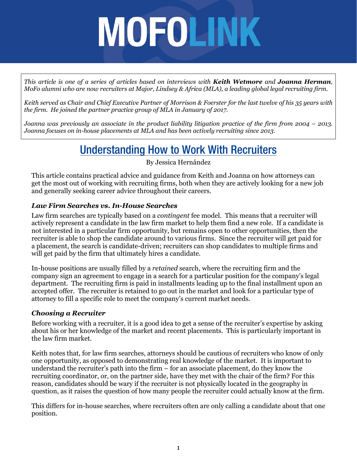*This article is one of a series of articles based on interviews with Keith Wetmore and Joanna Herman, MoFo alumni who are now recruiters at Major, Lindsey & Africa (MLA), a leading global legal recruiting firm.*

*Keith served as Chair and Chief Executive Partner of Morrison & Foerster for the last twelve of his 35 years with the firm. He joined the partner practice group of MLA in January of 2017.*

*Joanna was previously an associate in the product liability litigation practice of the firm from 2004 – 2013. Joanna focuses on in-house placements at MLA and has been actively recruiting since 2013.*

# Understanding How to Work With Recruiters

By Jessica Hernández

This article contains practical advice and guidance from Keith and Joanna on how attorneys can get the most out of working with recruiting firms, both when they are actively looking for a new job and generally seeking career advice throughout their careers.

#### *Law Firm Searches vs. In-House Searches*

Law firm searches are typically based on a *contingent* fee model. This means that a recruiter will actively represent a candidate in the law firm market to help them find a new role. If a candidate is not interested in a particular firm opportunity, but remains open to other opportunities, then the recruiter is able to shop the candidate around to various firms. Since the recruiter will get paid for a placement, the search is candidate-driven; recruiters can shop candidates to multiple firms and will get paid by the firm that ultimately hires a candidate.

In-house positions are usually filled by a *retained* search, where the recruiting firm and the company sign an agreement to engage in a search for a particular position for the company's legal department. The recruiting firm is paid in installments leading up to the final installment upon an accepted offer. The recruiter is retained to go out in the market and look for a particular type of attorney to fill a specific role to meet the company's current market needs.

#### *Choosing a Recruiter*

Before working with a recruiter, it is a good idea to get a sense of the recruiter's expertise by asking about his or her knowledge of the market and recent placements. This is particularly important in the law firm market.

Keith notes that, for law firm searches, attorneys should be cautious of recruiters who know of only one opportunity, as opposed to demonstrating real knowledge of the market. It is important to understand the recruiter's path into the firm – for an associate placement, do they know the recruiting coordinator, or, on the partner side, have they met with the chair of the firm? For this reason, candidates should be wary if the recruiter is not physically located in the geography in question, as it raises the question of how many people the recruiter could actually know at the firm.

This differs for in-house searches, where recruiters often are only calling a candidate about that one position.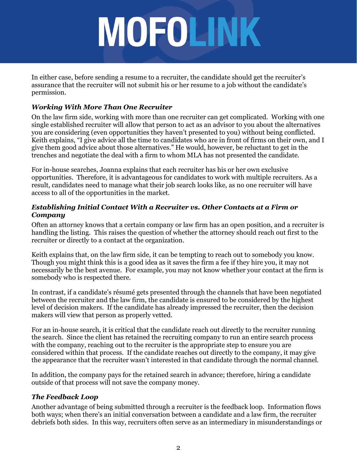In either case, before sending a resume to a recruiter, the candidate should get the recruiter's assurance that the recruiter will not submit his or her resume to a job without the candidate's permission.

## *Working With More Than One Recruiter*

On the law firm side, working with more than one recruiter can get complicated. Working with one single established recruiter will allow that person to act as an advisor to you about the alternatives you are considering (even opportunities they haven't presented to you) without being conflicted. Keith explains, "I give advice all the time to candidates who are in front of firms on their own, and I give them good advice about those alternatives." He would, however, be reluctant to get in the trenches and negotiate the deal with a firm to whom MLA has not presented the candidate.

For in-house searches, Joanna explains that each recruiter has his or her own exclusive opportunities. Therefore, it is advantageous for candidates to work with multiple recruiters. As a result, candidates need to manage what their job search looks like, as no one recruiter will have access to all of the opportunities in the market.

### *Establishing Initial Contact With a Recruiter vs. Other Contacts at a Firm or Company*

Often an attorney knows that a certain company or law firm has an open position, and a recruiter is handling the listing. This raises the question of whether the attorney should reach out first to the recruiter or directly to a contact at the organization.

Keith explains that, on the law firm side, it can be tempting to reach out to somebody you know. Though you might think this is a good idea as it saves the firm a fee if they hire you, it may not necessarily be the best avenue. For example, you may not know whether your contact at the firm is somebody who is respected there.

In contrast, if a candidate's résumé gets presented through the channels that have been negotiated between the recruiter and the law firm, the candidate is ensured to be considered by the highest level of decision makers. If the candidate has already impressed the recruiter, then the decision makers will view that person as properly vetted.

For an in-house search, it is critical that the candidate reach out directly to the recruiter running the search. Since the client has retained the recruiting company to run an entire search process with the company, reaching out to the recruiter is the appropriate step to ensure you are considered within that process. If the candidate reaches out directly to the company, it may give the appearance that the recruiter wasn't interested in that candidate through the normal channel.

In addition, the company pays for the retained search in advance; therefore, hiring a candidate outside of that process will not save the company money.

# *The Feedback Loop*

Another advantage of being submitted through a recruiter is the feedback loop. Information flows both ways; when there's an initial conversation between a candidate and a law firm, the recruiter debriefs both sides. In this way, recruiters often serve as an intermediary in misunderstandings or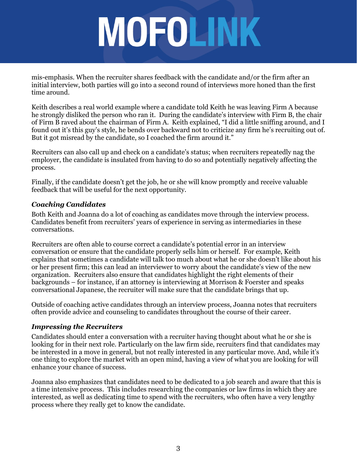mis-emphasis. When the recruiter shares feedback with the candidate and/or the firm after an initial interview, both parties will go into a second round of interviews more honed than the first time around.

Keith describes a real world example where a candidate told Keith he was leaving Firm A because he strongly disliked the person who ran it. During the candidate's interview with Firm B, the chair of Firm B raved about the chairman of Firm A. Keith explained, "I did a little sniffing around, and I found out it's this guy's style, he bends over backward not to criticize any firm he's recruiting out of. But it got misread by the candidate, so I coached the firm around it."

Recruiters can also call up and check on a candidate's status; when recruiters repeatedly nag the employer, the candidate is insulated from having to do so and potentially negatively affecting the process.

Finally, if the candidate doesn't get the job, he or she will know promptly and receive valuable feedback that will be useful for the next opportunity.

### *Coaching Candidates*

Both Keith and Joanna do a lot of coaching as candidates move through the interview process. Candidates benefit from recruiters' years of experience in serving as intermediaries in these conversations.

Recruiters are often able to course correct a candidate's potential error in an interview conversation or ensure that the candidate properly sells him or herself. For example, Keith explains that sometimes a candidate will talk too much about what he or she doesn't like about his or her present firm; this can lead an interviewer to worry about the candidate's view of the new organization. Recruiters also ensure that candidates highlight the right elements of their backgrounds – for instance, if an attorney is interviewing at Morrison & Foerster and speaks conversational Japanese, the recruiter will make sure that the candidate brings that up.

Outside of coaching active candidates through an interview process, Joanna notes that recruiters often provide advice and counseling to candidates throughout the course of their career.

#### *Impressing the Recruiters*

Candidates should enter a conversation with a recruiter having thought about what he or she is looking for in their next role. Particularly on the law firm side, recruiters find that candidates may be interested in a move in general, but not really interested in any particular move. And, while it's one thing to explore the market with an open mind, having a view of what you are looking for will enhance your chance of success.

Joanna also emphasizes that candidates need to be dedicated to a job search and aware that this is a time intensive process. This includes researching the companies or law firms in which they are interested, as well as dedicating time to spend with the recruiters, who often have a very lengthy process where they really get to know the candidate.